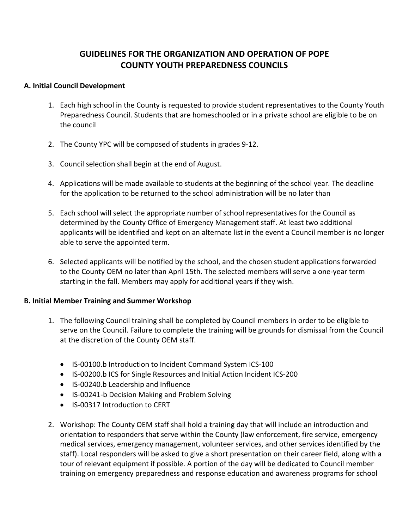# **GUIDELINES FOR THE ORGANIZATION AND OPERATION OF POPE COUNTY YOUTH PREPAREDNESS COUNCILS**

#### **A. Initial Council Development**

- 1. Each high school in the County is requested to provide student representatives to the County Youth Preparedness Council. Students that are homeschooled or in a private school are eligible to be on the council
- 2. The County YPC will be composed of students in grades 9‐12.
- 3. Council selection shall begin at the end of August.
- 4. Applications will be made available to students at the beginning of the school year. The deadline for the application to be returned to the school administration will be no later than
- 5. Each school will select the appropriate number of school representatives for the Council as determined by the County Office of Emergency Management staff. At least two additional applicants will be identified and kept on an alternate list in the event a Council member is no longer able to serve the appointed term.
- 6. Selected applicants will be notified by the school, and the chosen student applications forwarded to the County OEM no later than April 15th. The selected members will serve a one‐year term starting in the fall. Members may apply for additional years if they wish.

#### **B. Initial Member Training and Summer Workshop**

- 1. The following Council training shall be completed by Council members in order to be eligible to serve on the Council. Failure to complete the training will be grounds for dismissal from the Council at the discretion of the County OEM staff.
	- IS‐00100.b Introduction to Incident Command System ICS‐100
	- IS‐00200.b ICS for Single Resources and Initial Action Incident ICS‐200
	- IS‐00240.b Leadership and Influence
	- IS‐00241‐b Decision Making and Problem Solving
	- IS‐00317 Introduction to CERT
- 2. Workshop: The County OEM staff shall hold a training day that will include an introduction and orientation to responders that serve within the County (law enforcement, fire service, emergency medical services, emergency management, volunteer services, and other services identified by the staff). Local responders will be asked to give a short presentation on their career field, along with a tour of relevant equipment if possible. A portion of the day will be dedicated to Council member training on emergency preparedness and response education and awareness programs for school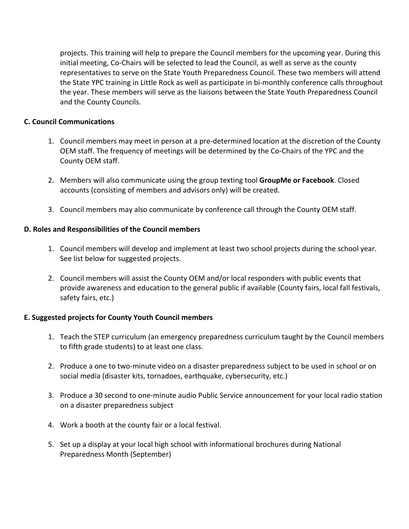projects. This training will help to prepare the Council members for the upcoming year. During this initial meeting, Co‐Chairs will be selected to lead the Council, as well as serve as the county representatives to serve on the State Youth Preparedness Council. These two members will attend the State YPC training in Little Rock as well as participate in bi‐monthly conference calls throughout the year. These members will serve as the liaisons between the State Youth Preparedness Council and the County Councils.

## **C. Council Communications**

- 1. Council members may meet in person at a pre‐determined location at the discretion of the County OEM staff. The frequency of meetings will be determined by the Co‐Chairs of the YPC and the County OEM staff.
- 2. Members will also communicate using the group texting tool **GroupMe or Facebook**. Closed accounts (consisting of members and advisors only) will be created.
- 3. Council members may also communicate by conference call through the County OEM staff.

## **D. Roles and Responsibilities of the Council members**

- 1. Council members will develop and implement at least two school projects during the school year. See list below for suggested projects.
- 2. Council members will assist the County OEM and/or local responders with public events that provide awareness and education to the general public if available (County fairs, local fall festivals, safety fairs, etc.)

## **E. Suggested projects for County Youth Council members**

- 1. Teach the STEP curriculum (an emergency preparedness curriculum taught by the Council members to fifth grade students) to at least one class.
- 2. Produce a one to two-minute video on a disaster preparedness subject to be used in school or on social media (disaster kits, tornadoes, earthquake, cybersecurity, etc.)
- 3. Produce a 30 second to one‐minute audio Public Service announcement for your local radio station on a disaster preparedness subject
- 4. Work a booth at the county fair or a local festival.
- 5. Set up a display at your local high school with informational brochures during National Preparedness Month (September)